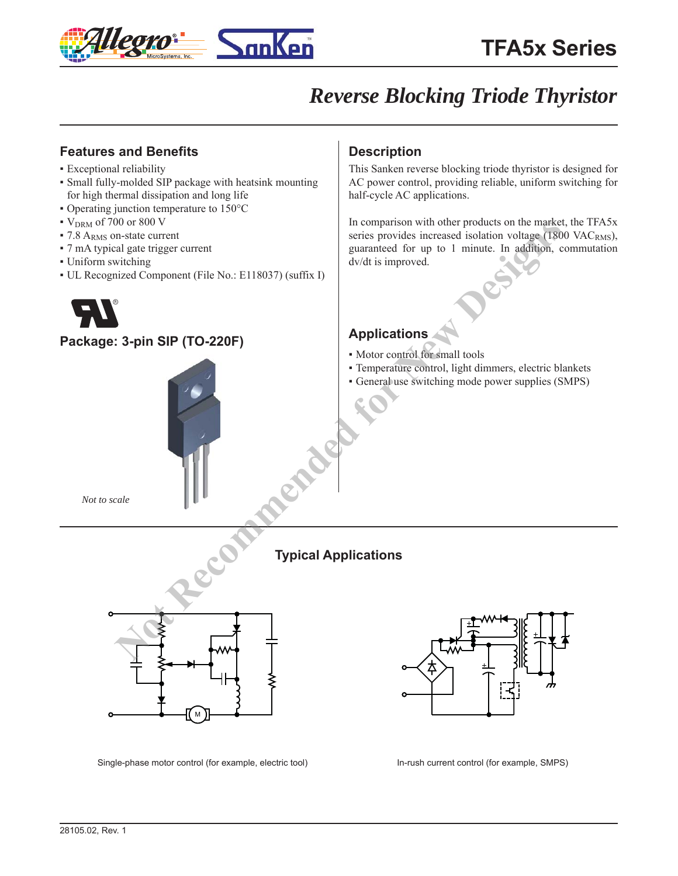

# **Features and Benefits**

- Exceptional reliability
- Small fully-molded SIP package with heatsink mounting for high thermal dissipation and long life
- Operating junction temperature to 150°C
- $\bullet$  V<sub>DRM</sub> of 700 or 800 V
- 7.8 A<sub>RMS</sub> on-state current
- 7 mA typical gate trigger current
- Uniform switching
- UL Recognized Component (File No.: E118037) (suffix I)



## **Package: 3-pin SIP (TO-220F)**



# **Description**

This Sanken reverse blocking triode thyristor is designed for AC power control, providing reliable, uniform switching for half-cycle AC applications.

In comparison with other products on the market, the TFA5x series provides increased isolation voltage  $(1800 \text{ VAC}_{RMS})$ , guaranteed for up to 1 minute. In addition, commutation dv/dt is improved.

# **Applications**

- Motor control for small tools
- Temperature control, light dimmers, electric blankets
- General use switching mode power supplies (SMPS)

*Not to scale*





Single-phase motor control (for example, electric tool) In-rush current control (for example, SMPS)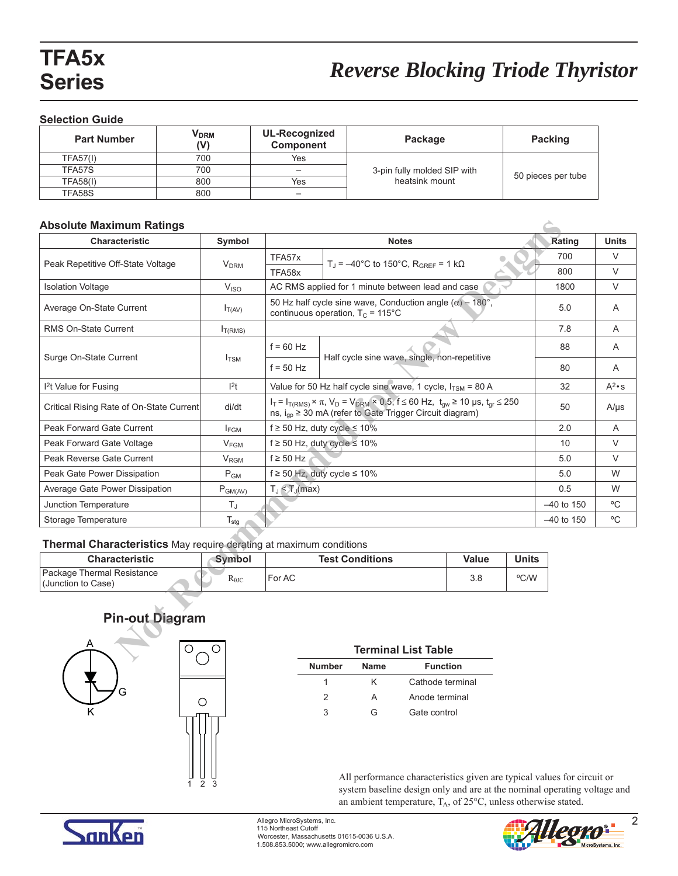### **Selection Guide**

| <b>Part Number</b> | V <sub>DRM</sub><br>(V) | UL-Recognized<br>Component | Package                     | Packing            |
|--------------------|-------------------------|----------------------------|-----------------------------|--------------------|
| <b>TFA57(I)</b>    | 700                     | Yes                        |                             |                    |
| TFA57S             | 700                     |                            | 3-pin fully molded SIP with |                    |
| <b>TFA58(I)</b>    | 800                     | Yes                        | heatsink mount              | 50 pieces per tube |
| TFA58S             | 800                     |                            |                             |                    |

## **Absolute Maximum Ratings**

| <b>Absolute Maximum Ratings</b>                                           |                                      |                                                                                                                                                                                         |                                                                                                                  |       |              |              |               |
|---------------------------------------------------------------------------|--------------------------------------|-----------------------------------------------------------------------------------------------------------------------------------------------------------------------------------------|------------------------------------------------------------------------------------------------------------------|-------|--------------|--------------|---------------|
| Characteristic                                                            | Symbol                               |                                                                                                                                                                                         | <b>Notes</b>                                                                                                     |       |              | Rating       | <b>Units</b>  |
| Peak Repetitive Off-State Voltage                                         | V <sub>DRM</sub>                     | TFA57x                                                                                                                                                                                  | $T_{\text{J}}$ = $-40^{\circ}$ C to 150°C, R <sub>GRFF</sub> = 1 kΩ                                              |       |              | 700          | V             |
|                                                                           | TFA58x                               |                                                                                                                                                                                         |                                                                                                                  |       |              | 800          | $\vee$        |
| <b>Isolation Voltage</b>                                                  | V <sub>ISO</sub>                     |                                                                                                                                                                                         | AC RMS applied for 1 minute between lead and case                                                                |       |              | 1800         | V             |
| Average On-State Current                                                  | $I_{T(AV)}$                          |                                                                                                                                                                                         | 50 Hz half cycle sine wave, Conduction angle ( $\alpha$ ) = 180°,<br>continuous operation, $T_C = 115^{\circ}$ C |       |              | 5.0          | Α             |
| RMS On-State Current                                                      | I <sub>T(RMS)</sub>                  |                                                                                                                                                                                         |                                                                                                                  |       |              | 7.8          | A             |
| Surge On-State Current                                                    | $I_{TSM}$                            | $f = 60$ Hz                                                                                                                                                                             | Half cycle sine wave, single, non-repetitive                                                                     |       | 88           | A            |               |
|                                                                           |                                      | $f = 50$ Hz                                                                                                                                                                             |                                                                                                                  |       | 80           | A            |               |
| <sup>2</sup> t Value for Fusing                                           | 2t                                   |                                                                                                                                                                                         | Value for 50 Hz half cycle sine wave, 1 cycle, $I_{TSM}$ = 80 A                                                  |       |              | 32           | $A^2 \cdot s$ |
| Critical Rising Rate of On-State Current                                  | di/dt                                | $I_T = I_{T(RMS)} \times \pi$ , $V_D = V_{DRM} \times 0.5$ , $f \le 60$ Hz, $t_{qw} \ge 10$ µs, $t_{qr} \le 250$<br>ns, i <sub>qp</sub> ≥ 30 mA (refer to Gate Trigger Circuit diagram) |                                                                                                                  |       | 50           | $A/\mu s$    |               |
| Peak Forward Gate Current                                                 | $I_{FGM}$                            | $f \ge 50$ Hz, duty cycle $\le 10\%$                                                                                                                                                    |                                                                                                                  |       | 2.0          | A            |               |
| Peak Forward Gate Voltage                                                 | $V_{FGM}$                            | $f \ge 50$ Hz, duty cycle $\le 10\%$                                                                                                                                                    |                                                                                                                  |       | 10           | $\vee$       |               |
| Peak Reverse Gate Current                                                 | <b>V<sub>RGM</sub></b>               | $f \geq 50$ Hz                                                                                                                                                                          |                                                                                                                  |       | 5.0          | V            |               |
| Peak Gate Power Dissipation                                               | P <sub>GM</sub>                      | $f \ge 50$ Hz, duty cycle $\le 10\%$                                                                                                                                                    |                                                                                                                  |       | 5.0          | W            |               |
| Average Gate Power Dissipation                                            | $T_J \leq T_J$ (max)<br>$P_{GM(AV)}$ |                                                                                                                                                                                         |                                                                                                                  | 0.5   | W            |              |               |
| Junction Temperature                                                      | TJ                                   |                                                                                                                                                                                         |                                                                                                                  |       |              | $-40$ to 150 | °C            |
| Storage Temperature                                                       | $T_{\text{stg}}$                     |                                                                                                                                                                                         |                                                                                                                  |       |              | $-40$ to 150 | °C            |
| <b>Thermal Characteristics</b> May require derating at maximum conditions |                                      |                                                                                                                                                                                         |                                                                                                                  |       |              |              |               |
| <b>Characteristic</b>                                                     | Symbol                               |                                                                                                                                                                                         | <b>Test Conditions</b>                                                                                           | Value | <b>Units</b> |              |               |
| Package Thermal Resistance<br>(Junction to Case)                          | $R_{\theta JC}$                      | For AC                                                                                                                                                                                  |                                                                                                                  | 3.8   | °C/W         |              |               |
| <b>Pin-out Diagram</b>                                                    |                                      |                                                                                                                                                                                         |                                                                                                                  |       |              |              |               |
| O                                                                         |                                      |                                                                                                                                                                                         | <b>Terminal List Table</b>                                                                                       |       |              |              |               |

| <b>Characteristic</b>                            | Symbol                  | <b>Test Conditions</b> | Value | <b>Units</b> |
|--------------------------------------------------|-------------------------|------------------------|-------|--------------|
| Package Thermal Resistance<br>(Junction to Case) | $\rm R_{\rm \theta JC}$ | For AC                 | 3.8   | °C/W         |

# K A G



 $\mathfrak{p}$ 

#### **Terminal List Table**

| <b>Number</b> | <b>Name</b> | <b>Function</b>  |
|---------------|-------------|------------------|
|               | ĸ           | Cathode terminal |
| 2             | А           | Anode terminal   |
|               | G           | Gate control     |

All performance characteristics given are typical values for circuit or system baseline design only and are at the nominal operating voltage and an ambient temperature,  $T_A$ , of  $25^{\circ}$ C, unless otherwise stated.



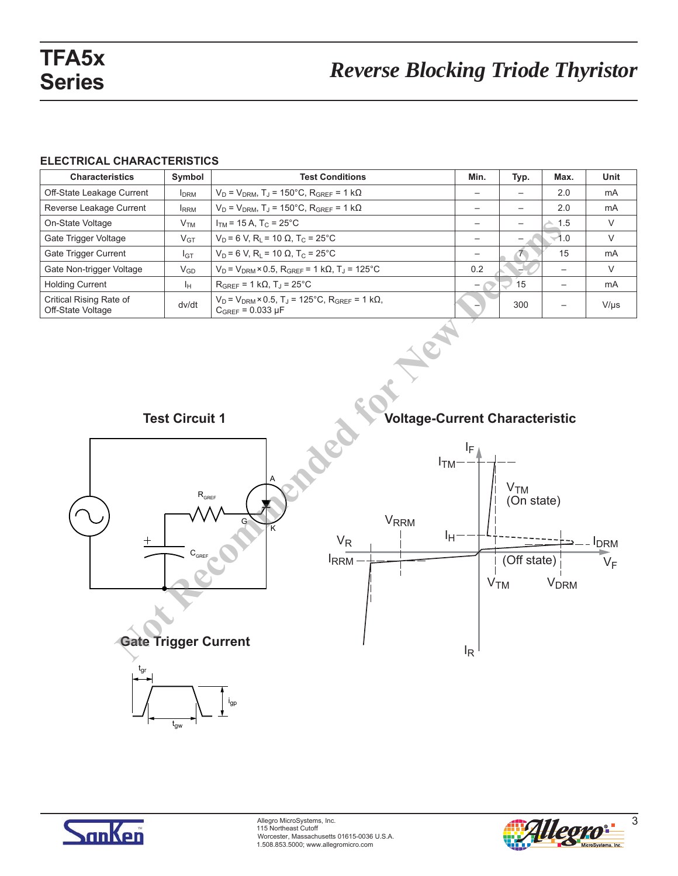## **ELECTRICAL CHARACTERISTICS**

| <b>Characteristics</b>                       | Symbol          | <b>Test Conditions</b>                                                                                              | Min.                     | Typ.            | Max.                     | <b>Unit</b> |
|----------------------------------------------|-----------------|---------------------------------------------------------------------------------------------------------------------|--------------------------|-----------------|--------------------------|-------------|
| Off-State Leakage Current                    | <b>I</b> DRM    | $V_D = V_{DRM}$ , T <sub>J</sub> = 150°C, R <sub>GREF</sub> = 1 k $\Omega$                                          |                          |                 | 2.0                      | mA          |
| Reverse Leakage Current                      | <b>I</b> RRM    | $V_D = V_{DRM}$ , T <sub>J</sub> = 150°C, R <sub>GREF</sub> = 1 k $\Omega$                                          | $\overline{\phantom{0}}$ | $\qquad \qquad$ | 2.0                      | mA          |
| On-State Voltage                             | V <sub>TM</sub> | $I_{TM}$ = 15 A, T <sub>C</sub> = 25 <sup>°</sup> C                                                                 |                          |                 | 1.5                      | V           |
| Gate Trigger Voltage                         | $V_{GT}$        | $V_D$ = 6 V, R <sub>1</sub> = 10 Ω, T <sub>C</sub> = 25°C                                                           |                          | $\qquad \qquad$ | $-1.0$                   | V           |
| Gate Trigger Current                         | $I_{GT}$        | $V_D$ = 6 V, R <sub>L</sub> = 10 Ω, T <sub>C</sub> = 25°C                                                           | $\overline{\phantom{0}}$ |                 | 15                       | mA          |
| Gate Non-trigger Voltage                     | $V_{GD}$        | $V_D = V_{DRM} \times 0.5$ , R <sub>GREF</sub> = 1 k $\Omega$ , T <sub>J</sub> = 125 <sup>°</sup> C                 | 0.2                      |                 |                          | V           |
| <b>Holding Current</b>                       | Iн.             | $R_{GREF}$ = 1 k $\Omega$ , T <sub>J</sub> = 25 <sup>°</sup> C                                                      |                          | 15              |                          | mA          |
| Critical Rising Rate of<br>Off-State Voltage | dv/dt           | $V_D = V_{DRM} \times 0.5$ , T <sub>J</sub> = 125°C, R <sub>GRFF</sub> = 1 k $\Omega$ ,<br>$C_{GREF} = 0.033 \mu F$ |                          | 300             | $\overline{\phantom{0}}$ | $V/\mu s$   |





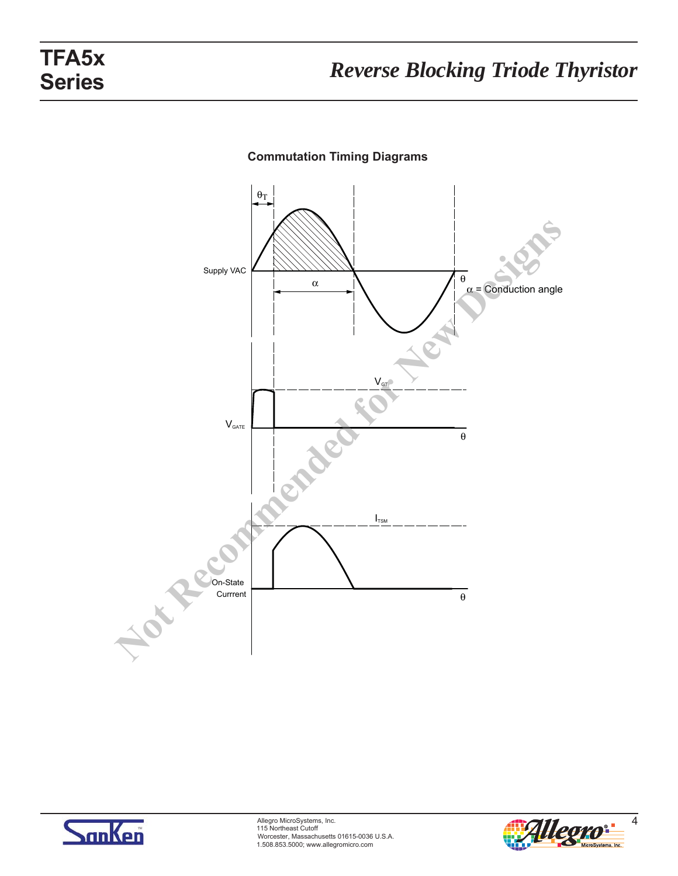

# **Commutation Timing Diagrams**



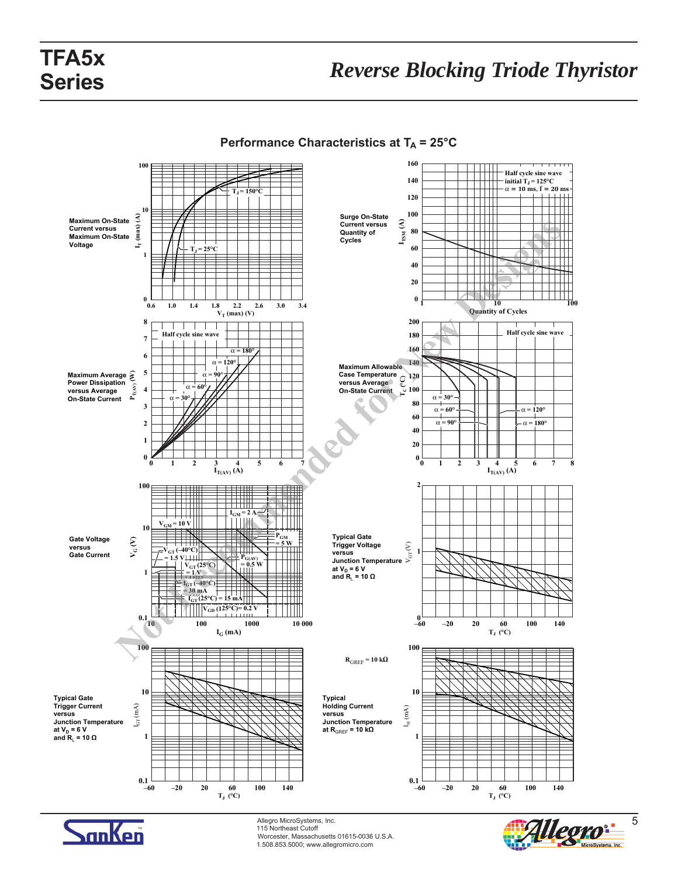

**Performance Characteristics at**  $T_A = 25^{\circ}C$ 



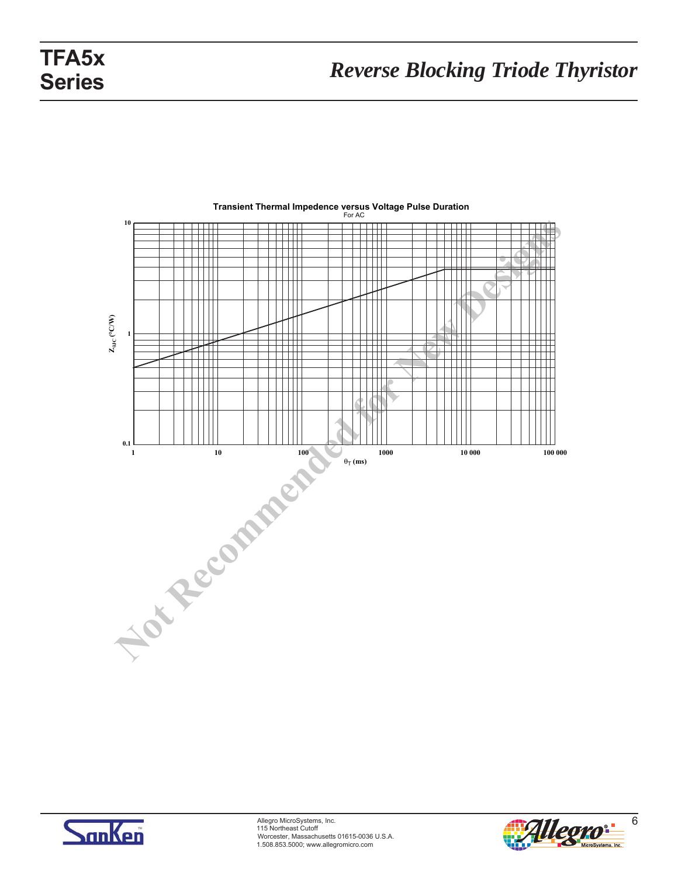

# **Transient Thermal Impedence versus Voltage Pulse Duration** For AC



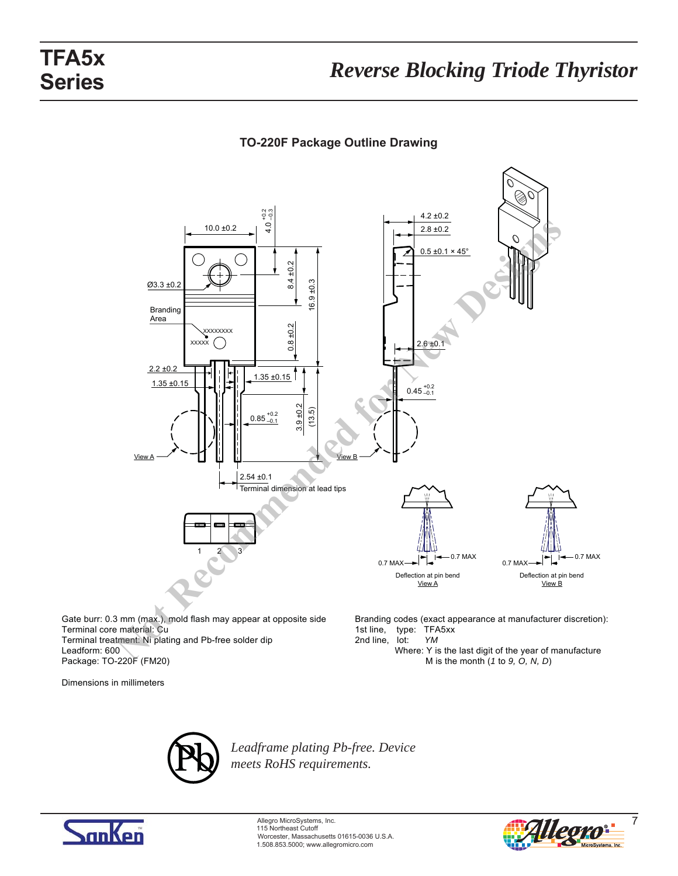# **TO-220F Package Outline Drawing**



Gate burr: 0.3 mm (max.), mold flash may appear at opposite side Terminal core material: Cu Terminal treatment: Ni plating and Pb-free solder dip Leadform: 600 Package: TO-220F (FM20)

Dimensions in millimeters

Branding codes (exact appearance at manufacturer discretion): 1st line, type: TFA5xx 2nd line, lot: *YM*

 Where: Y is the last digit of the year of manufacture M is the month (*1* to *9, O, N, D*)



*Leadframe plating Pb-free. Device meets RoHS requirements.*



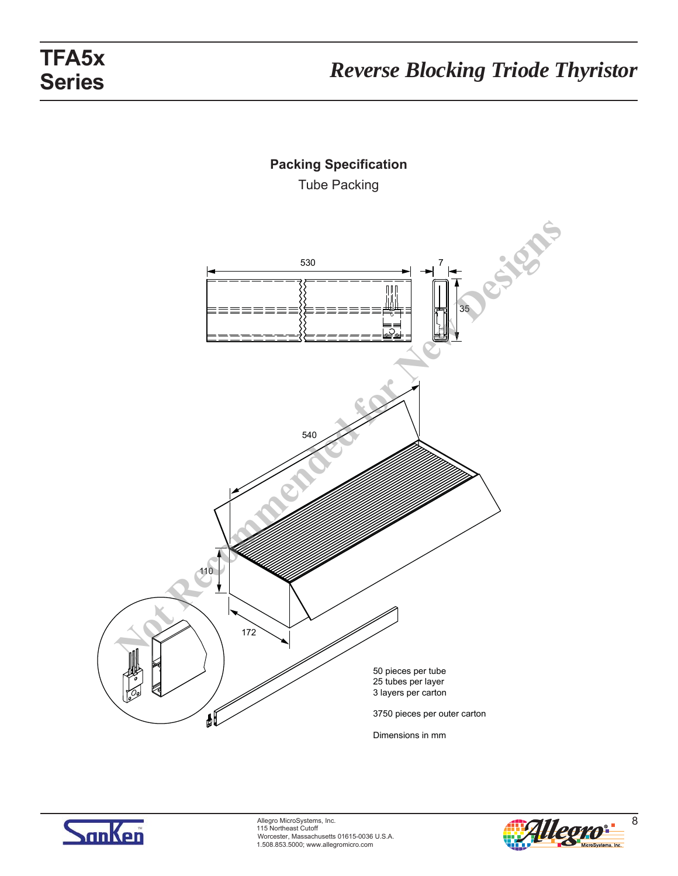



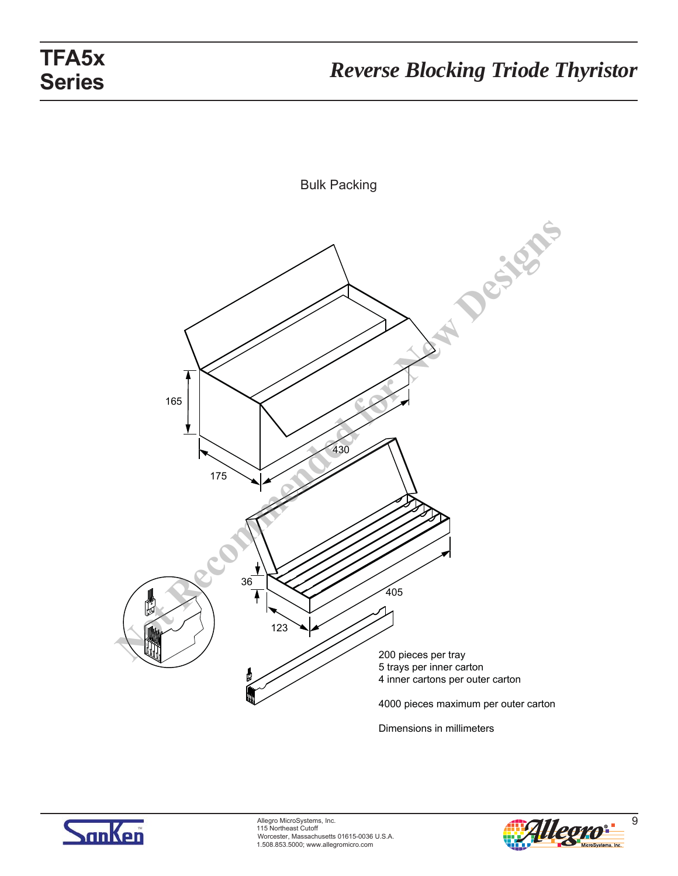



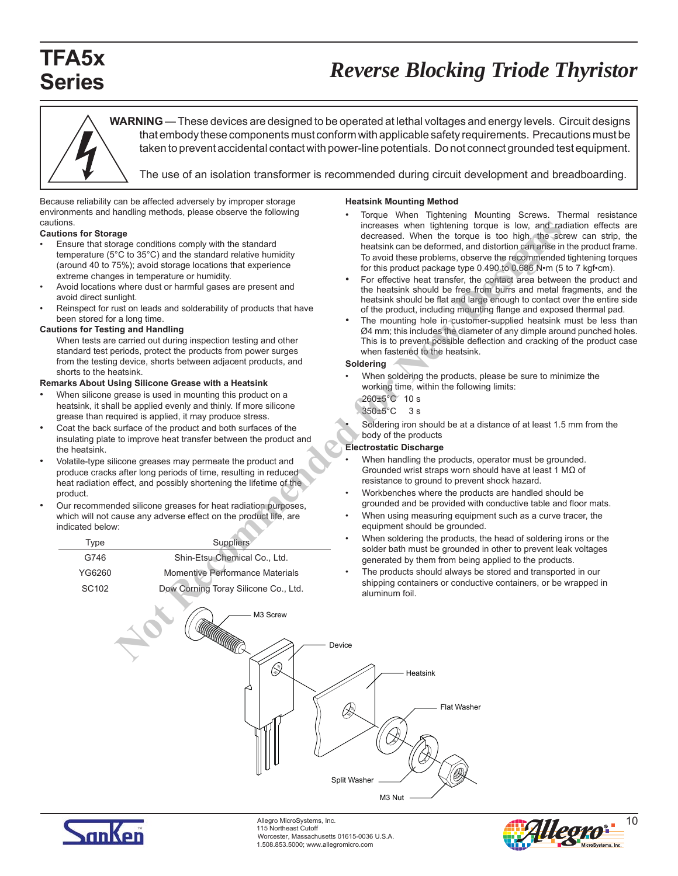# **Series**

# *Reverse Blocking Triode Thyristor* **TFA5x**

**WARNING** — These devices are designed to be operated at lethal voltages and energy levels. Circuit designs that embody these components must conform with applicable safety requirements. Precautions must be taken to prevent accidental contact with power-line potentials. Do not connect grounded test equipment.

The use of an isolation transformer is recommended during circuit development and breadboarding.

Because reliability can be affected adversely by improper storage environments and handling methods, please observe the following cautions.

#### **Cautions for Storage**

- Ensure that storage conditions comply with the standard temperature (5°C to 35°C) and the standard relative humidity (around 40 to 75%); avoid storage locations that experience extreme changes in temperature or humidity.
- Avoid locations where dust or harmful gases are present and avoid direct sunlight.
- Reinspect for rust on leads and solderability of products that have been stored for a long time.

#### **Cautions for Testing and Handling**

 When tests are carried out during inspection testing and other standard test periods, protect the products from power surges from the testing device, shorts between adjacent products, and shorts to the heatsink.

#### **Remarks About Using Silicone Grease with a Heatsink**

- When silicone grease is used in mounting this product on a heatsink, it shall be applied evenly and thinly. If more silicone grease than required is applied, it may produce stress.
- Coat the back surface of the product and both surfaces of the insulating plate to improve heat transfer between the product and the heatsink.
- Volatile-type silicone greases may permeate the product and produce cracks after long periods of time, resulting in reduced heat radiation effect, and possibly shortening the lifetime of the product.
- Our recommended silicone greases for heat radiation purposes, which will not cause any adverse effect on the product life, are indicated below:

| Type              | Suppliers                            |
|-------------------|--------------------------------------|
| G746              | Shin-Etsu Chemical Co., Ltd.         |
| YG6260            | Momentive Performance Materials      |
| SC <sub>102</sub> | Dow Corning Toray Silicone Co., Ltd. |

#### **Heatsink Mounting Method**

- Torque When Tightening Mounting Screws. Thermal resistance increases when tightening torque is low, and radiation effects are decreased. When the torque is too high, the screw can strip, the heatsink can be deformed, and distortion can arise in the product frame. To avoid these problems, observe the recommended tightening torques for this product package type 0.490 to 0.686 N•m (5 to 7 kgf•cm).
- For effective heat transfer, the contact area between the product and the heatsink should be free from burrs and metal fragments, and the heatsink should be flat and large enough to contact over the entire side of the product, including mounting flange and exposed thermal pad.
- The mounting hole in customer-supplied heatsink must be less than Ø4 mm; this includes the diameter of any dimple around punched holes. This is to prevent possible deflection and cracking of the product case when fastened to the heatsink.

#### **Soldering**

- When soldering the products, please be sure to minimize the working time, within the following limits: 260±5°C 10 s 350±5°C 3 s
- Soldering iron should be at a distance of at least 1.5 mm from the body of the products

#### **Electrostatic Discharge**

- When handling the products, operator must be grounded. Grounded wrist straps worn should have at least 1 MΩ of resistance to ground to prevent shock hazard.
- Workbenches where the products are handled should be grounded and be provided with conductive table and floor mats.
- When using measuring equipment such as a curve tracer, the equipment should be grounded.
- When soldering the products, the head of soldering irons or the solder bath must be grounded in other to prevent leak voltages generated by them from being applied to the products.
- The products should always be stored and transported in our shipping containers or conductive containers, or be wrapped in aluminum foil.





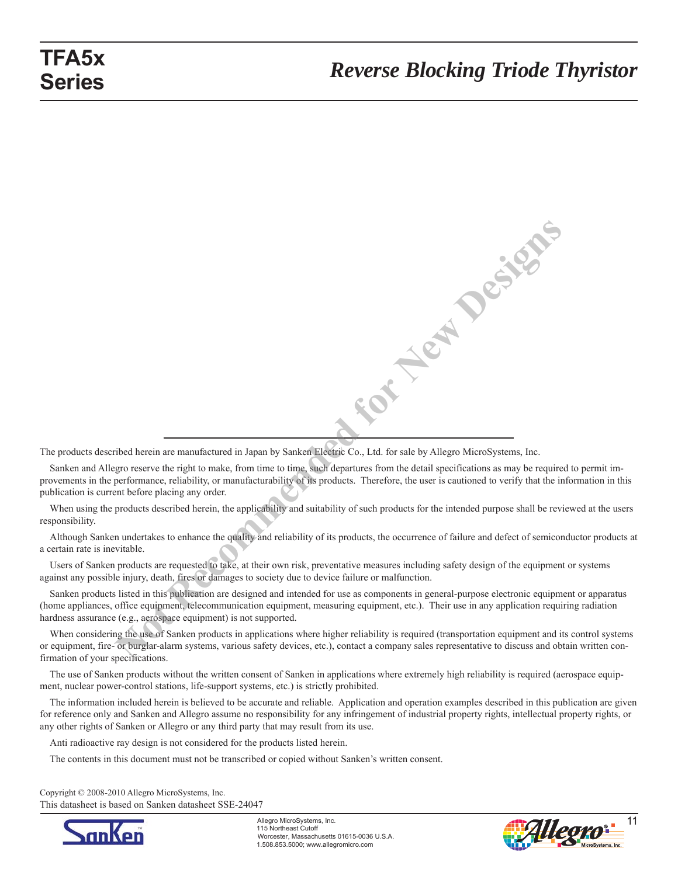**Not Replace Basics** 

The products described herein are manufactured in Japan by Sanken Electric Co., Ltd. for sale by Allegro MicroSystems, Inc.

Sanken and Allegro reserve the right to make, from time to time, such departures from the detail specifications as may be required to permit improvements in the performance, reliability, or manufacturability of its products. Therefore, the user is cautioned to verify that the information in this publication is current before placing any order.

When using the products described herein, the applicability and suitability of such products for the intended purpose shall be reviewed at the users responsibility.

Although Sanken undertakes to enhance the quality and reliability of its products, the occurrence of failure and defect of semiconductor products at a certain rate is inevitable.

Users of Sanken products are requested to take, at their own risk, preventative measures including safety design of the equipment or systems against any possible injury, death, fires or damages to society due to device failure or malfunction.

Sanken products listed in this publication are designed and intended for use as components in general-purpose electronic equipment or apparatus (home appliances, office equipment, telecommunication equipment, measuring equipment, etc.). Their use in any application requiring radiation hardness assurance (e.g., aerospace equipment) is not supported.

When considering the use of Sanken products in applications where higher reliability is required (transportation equipment and its control systems or equip ment, fire- or burglar-alarm systems, various safety devices, etc.), contact a company sales representative to discuss and obtain written confirmation of your specifications.

The use of Sanken products without the written consent of Sanken in applications where extremely high reliability is required (aerospace equipment, nuclear power-control stations, life-support systems, etc.) is strictly prohibited.

The information included herein is believed to be accurate and reliable. Application and operation examples described in this publication are given for reference only and Sanken and Allegro assume no responsibility for any infringement of industrial property rights, intellectual property rights, or any other rights of Sanken or Allegro or any third party that may result from its use.

Anti radioactive ray design is not considered for the products listed herein.

The contents in this document must not be transcribed or copied without Sanken's written consent.

Copyright © 2008-2010 Allegro MicroSystems, Inc. This datasheet is based on Sanken datasheet SSE-24047